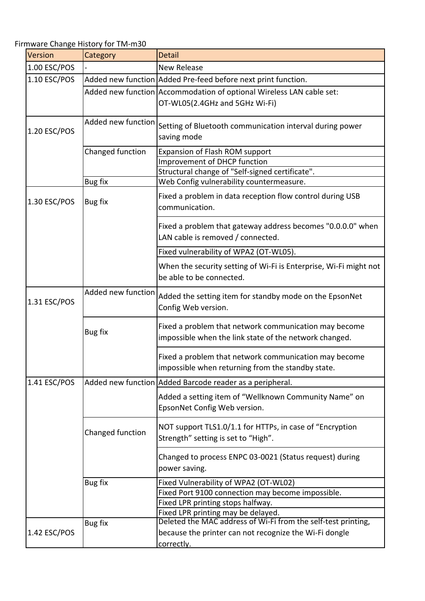Firmware Change History for TM‐m30

| Version      | Category           | <b>Detail</b>                                                                                                                                                 |
|--------------|--------------------|---------------------------------------------------------------------------------------------------------------------------------------------------------------|
| 1.00 ESC/POS |                    | <b>New Release</b>                                                                                                                                            |
| 1.10 ESC/POS |                    | Added new function Added Pre-feed before next print function.                                                                                                 |
|              |                    | Added new function Accommodation of optional Wireless LAN cable set:<br>OT-WL05(2.4GHz and 5GHz Wi-Fi)                                                        |
| 1.20 ESC/POS | Added new function | Setting of Bluetooth communication interval during power<br>saving mode                                                                                       |
|              | Changed function   | Expansion of Flash ROM support<br>Improvement of DHCP function<br>Structural change of "Self-signed certificate".                                             |
|              | <b>Bug fix</b>     | Web Config vulnerability countermeasure.                                                                                                                      |
| 1.30 ESC/POS | Bug fix            | Fixed a problem in data reception flow control during USB<br>communication.                                                                                   |
|              |                    | Fixed a problem that gateway address becomes "0.0.0.0" when<br>LAN cable is removed / connected.                                                              |
|              |                    | Fixed vulnerability of WPA2 (OT-WL05).                                                                                                                        |
|              |                    | When the security setting of Wi-Fi is Enterprise, Wi-Fi might not<br>be able to be connected.                                                                 |
| 1.31 ESC/POS | Added new function | Added the setting item for standby mode on the EpsonNet<br>Config Web version.                                                                                |
|              | Bug fix            | Fixed a problem that network communication may become<br>impossible when the link state of the network changed.                                               |
|              |                    | Fixed a problem that network communication may become<br>impossible when returning from the standby state.                                                    |
| 1.41 ESC/POS |                    | Added new function   Added Barcode reader as a peripheral.                                                                                                    |
|              |                    | Added a setting item of "Wellknown Community Name" on<br>EpsonNet Config Web version.                                                                         |
|              | Changed function   | NOT support TLS1.0/1.1 for HTTPs, in case of "Encryption<br>Strength" setting is set to "High".                                                               |
|              |                    | Changed to process ENPC 03-0021 (Status request) during<br>power saving.                                                                                      |
|              | <b>Bug fix</b>     | Fixed Vulnerability of WPA2 (OT-WL02)                                                                                                                         |
|              |                    | Fixed Port 9100 connection may become impossible.                                                                                                             |
|              |                    | Fixed LPR printing stops halfway.                                                                                                                             |
| 1.42 ESC/POS | Bug fix            | Fixed LPR printing may be delayed.<br>Deleted the MAC address of Wi-Fi from the self-test printing,<br>because the printer can not recognize the Wi-Fi dongle |
|              |                    | correctly.                                                                                                                                                    |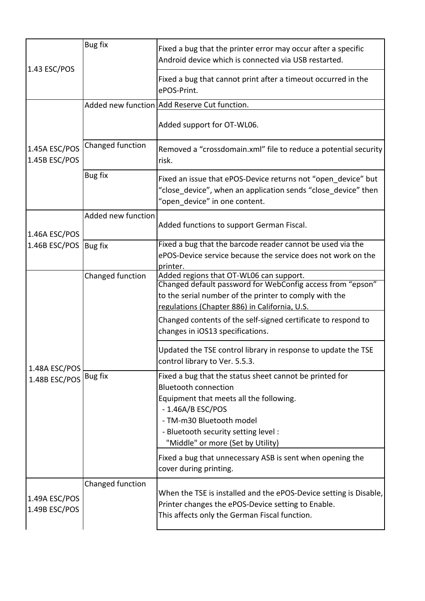| 1.43 ESC/POS                           | Bug fix            | Fixed a bug that the printer error may occur after a specific<br>Android device which is connected via USB restarted.                                                                                                                                           |
|----------------------------------------|--------------------|-----------------------------------------------------------------------------------------------------------------------------------------------------------------------------------------------------------------------------------------------------------------|
|                                        |                    | Fixed a bug that cannot print after a timeout occurred in the<br>ePOS-Print.                                                                                                                                                                                    |
| 1.45A ESC/POS<br>1.45B ESC/POS         |                    | Added new function Add Reserve Cut function.                                                                                                                                                                                                                    |
|                                        |                    | Added support for OT-WL06.                                                                                                                                                                                                                                      |
|                                        | Changed function   | Removed a "crossdomain.xml" file to reduce a potential security<br>risk.                                                                                                                                                                                        |
|                                        | Bug fix            | Fixed an issue that ePOS-Device returns not "open device" but<br>"close device", when an application sends "close device" then<br>"open device" in one content.                                                                                                 |
| 1.46A ESC/POS<br>1.46B ESC/POS Bug fix | Added new function | Added functions to support German Fiscal.                                                                                                                                                                                                                       |
|                                        |                    | Fixed a bug that the barcode reader cannot be used via the<br>ePOS-Device service because the service does not work on the<br>printer.                                                                                                                          |
| 1.48A ESC/POS<br>1.48B ESC/POS Bug fix | Changed function   | Added regions that OT-WL06 can support.<br>Changed default password for WebConfig access from "epson"<br>to the serial number of the printer to comply with the<br>regulations (Chapter 886) in California, U.S.                                                |
|                                        |                    | Changed contents of the self-signed certificate to respond to<br>changes in iOS13 specifications.                                                                                                                                                               |
|                                        |                    | Updated the TSE control library in response to update the TSE<br>control library to Ver. 5.5.3.                                                                                                                                                                 |
|                                        |                    | Fixed a bug that the status sheet cannot be printed for<br><b>Bluetooth connection</b><br>Equipment that meets all the following.<br>$-1.46A/B$ ESC/POS<br>- TM-m30 Bluetooth model<br>- Bluetooth security setting level:<br>"Middle" or more (Set by Utility) |
|                                        |                    | Fixed a bug that unnecessary ASB is sent when opening the<br>cover during printing.                                                                                                                                                                             |
| 1.49A ESC/POS<br>1.49B ESC/POS         | Changed function   | When the TSE is installed and the ePOS-Device setting is Disable,<br>Printer changes the ePOS-Device setting to Enable.<br>This affects only the German Fiscal function.                                                                                        |